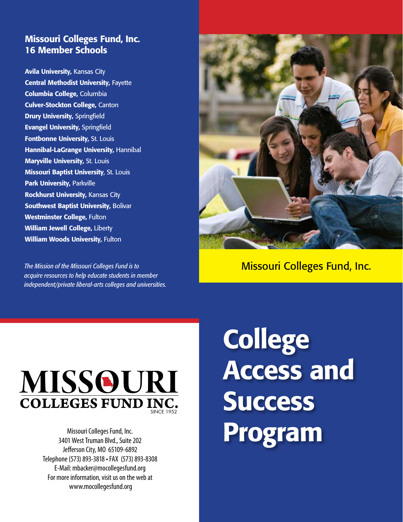# Missouri Colleges Fund, Inc. 16 Member Schools

Avila University, Kansas City Central Methodist University, Fayette Columbia College, Columbia Culver-Stockton College, Canton **Drury University, Springfield** Evangel University, Springfield Fontbonne University, St. Louis Hannibal-LaGrange University, Hannibal Maryville University, St. Louis Missouri Baptist University, St. Louis Park University, Parkville Rockhurst University, Kansas City Southwest Baptist University, Bolivar Westminster College, Fulton William Jewell College, Liberty William Woods University, Fulton

*The Mission of the Missouri Colleges Fund is to acquire resources to help educate students in member independent/private liberal-arts colleges and universities.*



Missouri Colleges Fund, Inc.



Missouri Colleges Fund, Inc. 3401 West Truman Blvd., Suite 202 Jefferson City, MO 65109-6892 Telephone (573) 893-3818 • FAX (573) 893-8308 E-Mail: mbacker@mocollegesfund.org For more information, visit us on the web at www.mocollegesfund.org

**College** Access and **Success** Program